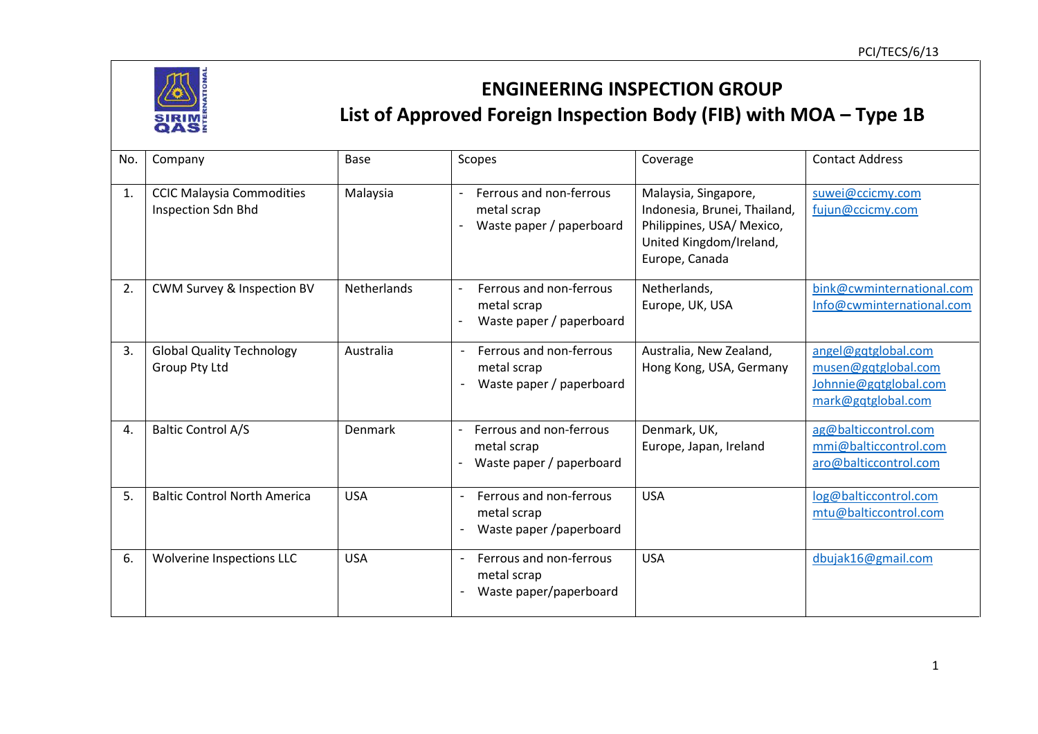

## **ENGINEERING INSPECTION GROUP List of Approved Foreign Inspection Body (FIB) with MOA – Type 1B**

| No. | Company                                                | Base               | Scopes                                                                                         | Coverage                                                                                                                       | <b>Contact Address</b>                                                                    |
|-----|--------------------------------------------------------|--------------------|------------------------------------------------------------------------------------------------|--------------------------------------------------------------------------------------------------------------------------------|-------------------------------------------------------------------------------------------|
| 1.  | <b>CCIC Malaysia Commodities</b><br>Inspection Sdn Bhd | Malaysia           | Ferrous and non-ferrous<br>metal scrap<br>Waste paper / paperboard                             | Malaysia, Singapore,<br>Indonesia, Brunei, Thailand,<br>Philippines, USA/ Mexico,<br>United Kingdom/Ireland,<br>Europe, Canada | suwei@ccicmy.com<br>fujun@ccicmy.com                                                      |
| 2.  | CWM Survey & Inspection BV                             | <b>Netherlands</b> | Ferrous and non-ferrous<br>metal scrap<br>Waste paper / paperboard                             | Netherlands,<br>Europe, UK, USA                                                                                                | bink@cwminternational.com<br>Info@cwminternational.com                                    |
| 3.  | <b>Global Quality Technology</b><br>Group Pty Ltd      | Australia          | Ferrous and non-ferrous<br>$\overline{\phantom{a}}$<br>metal scrap<br>Waste paper / paperboard | Australia, New Zealand,<br>Hong Kong, USA, Germany                                                                             | angel@gqtglobal.com<br>musen@gqtglobal.com<br>Johnnie@gqtglobal.com<br>mark@gqtglobal.com |
| 4.  | <b>Baltic Control A/S</b>                              | Denmark            | Ferrous and non-ferrous<br>metal scrap<br>Waste paper / paperboard                             | Denmark, UK,<br>Europe, Japan, Ireland                                                                                         | ag@balticcontrol.com<br>mmi@balticcontrol.com<br>aro@balticcontrol.com                    |
| 5.  | <b>Baltic Control North America</b>                    | <b>USA</b>         | Ferrous and non-ferrous<br>metal scrap<br>Waste paper /paperboard                              | <b>USA</b>                                                                                                                     | log@balticcontrol.com<br>mtu@balticcontrol.com                                            |
| 6.  | <b>Wolverine Inspections LLC</b>                       | <b>USA</b>         | Ferrous and non-ferrous<br>metal scrap<br>Waste paper/paperboard                               | <b>USA</b>                                                                                                                     | dbujak16@gmail.com                                                                        |